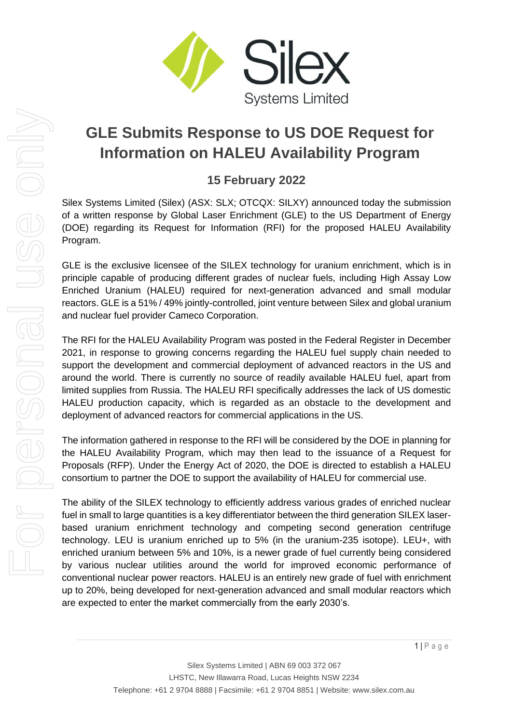

# **GLE Submits Response to US DOE Request for Information on HALEU Availability Program**

## **15 February 2022**

Silex Systems Limited (Silex) (ASX: SLX; OTCQX: SILXY) announced today the submission of a written response by Global Laser Enrichment (GLE) to the US Department of Energy (DOE) regarding its Request for Information (RFI) for the proposed HALEU Availability Program.

GLE is the exclusive licensee of the SILEX technology for uranium enrichment, which is in principle capable of producing different grades of nuclear fuels, including High Assay Low Enriched Uranium (HALEU) required for next-generation advanced and small modular reactors. GLE is a 51% / 49% jointly-controlled, joint venture between Silex and global uranium and nuclear fuel provider Cameco Corporation.

The RFI for the HALEU Availability Program was posted in the Federal Register in December 2021, in response to growing concerns regarding the HALEU fuel supply chain needed to support the development and commercial deployment of advanced reactors in the US and around the world. There is currently no source of readily available HALEU fuel, apart from limited supplies from Russia. The HALEU RFI specifically addresses the lack of US domestic HALEU production capacity, which is regarded as an obstacle to the development and deployment of advanced reactors for commercial applications in the US.

The information gathered in response to the RFI will be considered by the DOE in planning for the HALEU Availability Program, which may then lead to the issuance of a Request for Proposals (RFP). Under the Energy Act of 2020, the DOE is directed to establish a HALEU consortium to partner the DOE to support the availability of HALEU for commercial use.

The ability of the SILEX technology to efficiently address various grades of enriched nuclear fuel in small to large quantities is a key differentiator between the third generation SILEX laserbased uranium enrichment technology and competing second generation centrifuge technology. LEU is uranium enriched up to 5% (in the uranium-235 isotope). LEU+, with enriched uranium between 5% and 10%, is a newer grade of fuel currently being considered by various nuclear utilities around the world for improved economic performance of conventional nuclear power reactors. HALEU is an entirely new grade of fuel with enrichment up to 20%, being developed for next-generation advanced and small modular reactors which are expected to enter the market commercially from the early 2030's.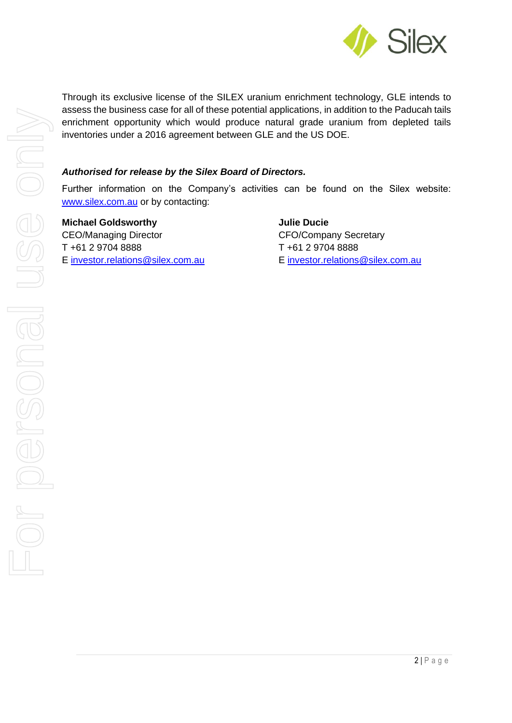

Through its exclusive license of the SILEX uranium enrichment technology, GLE intends to assess the business case for all of these potential applications, in addition to the Paducah tails enrichment opportunity which would produce natural grade uranium from depleted tails inventories under a 2016 agreement between GLE and the US DOE.

## *Authorised for release by the Silex Board of Directors.*

Further information on the Company's activities can be found on the Silex website: [www.silex.com.au](http://www.silex.com.au/) or by contacting:

**Michael Goldsworthy Julie Ducie** CEO/Managing Director CFO/Company Secretary T +61 2 9704 8888 T +61 2 9704 8888 E [investor.relations@silex.com.au](mailto:investor.relations@silex.com.au) E investor.relations@silex.com.au